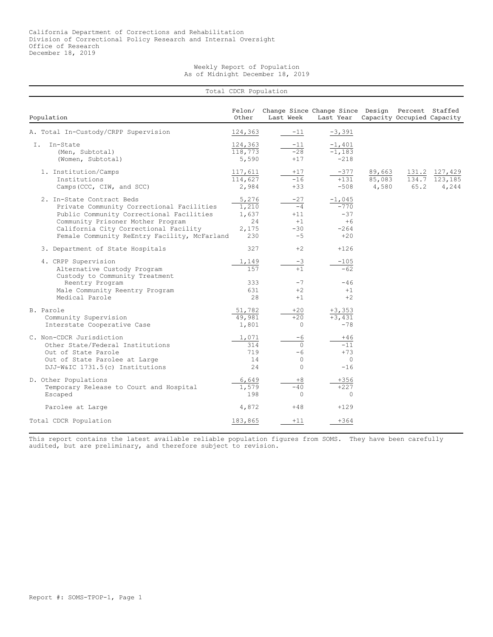Weekly Report of Population As of Midnight December 18, 2019

|                                                                                                                                                                                                                                                  | Total CDCR Population                         |           |                                                 |                                                               |                           |                            |                             |
|--------------------------------------------------------------------------------------------------------------------------------------------------------------------------------------------------------------------------------------------------|-----------------------------------------------|-----------|-------------------------------------------------|---------------------------------------------------------------|---------------------------|----------------------------|-----------------------------|
| Population                                                                                                                                                                                                                                       | Felon/<br>Other                               | Last Week |                                                 | Change Since Change Since Design Percent Staffed<br>Last Year |                           | Capacity Occupied Capacity |                             |
| A. Total In-Custody/CRPP Supervision                                                                                                                                                                                                             | 124,363                                       |           | $-11$                                           | $-3,391$                                                      |                           |                            |                             |
| In-State<br>T.<br>(Men, Subtotal)<br>(Women, Subtotal)                                                                                                                                                                                           | 124,363<br>118,773<br>5,590                   |           | $-11$<br>$-28$<br>$+17$                         | $-1,401$<br>$-1,183$<br>$-218$                                |                           |                            |                             |
| 1. Institution/Camps<br>Institutions<br>Camps (CCC, CIW, and SCC)                                                                                                                                                                                | 117,611<br>114,627<br>2,984                   |           | $+17$<br>$-16$<br>$+33$                         | $-377$<br>$+131$<br>$-508$                                    | 89,663<br>85,083<br>4,580 | 131.2<br>134.7<br>65.2     | 127,429<br>123,185<br>4,244 |
| 2. In-State Contract Beds<br>Private Community Correctional Facilities<br>Public Community Correctional Facilities<br>Community Prisoner Mother Program<br>California City Correctional Facility<br>Female Community ReEntry Facility, McFarland | 5,276<br>1,210<br>1,637<br>24<br>2,175<br>230 |           | $-27$<br>$-4$<br>$+11$<br>$+1$<br>$-30$<br>$-5$ | $-1,045$<br>$-770$<br>$-37$<br>$+6$<br>$-264$<br>$+20$        |                           |                            |                             |
| 3. Department of State Hospitals                                                                                                                                                                                                                 | 327                                           |           | $+2$                                            | $+126$                                                        |                           |                            |                             |
| 4. CRPP Supervision<br>Alternative Custody Program<br>Custody to Community Treatment                                                                                                                                                             | 1,149<br>157                                  |           | $-3$<br>$+1$                                    | $-105$<br>$-62$                                               |                           |                            |                             |
| Reentry Program<br>Male Community Reentry Program<br>Medical Parole                                                                                                                                                                              | 333<br>631<br>28                              |           | $-7$<br>$+2$<br>$+1$                            | $-46$<br>$+1$<br>$+2$                                         |                           |                            |                             |
| B. Parole<br>Community Supervision<br>Interstate Cooperative Case                                                                                                                                                                                | 51,782<br>49,981<br>1,801                     |           | $+20$<br>$+20$<br>$\Omega$                      | $+3,353$<br>$+3,431$<br>$-78$                                 |                           |                            |                             |
| C. Non-CDCR Jurisdiction<br>Other State/Federal Institutions<br>Out of State Parole<br>Out of State Parolee at Large<br>DJJ-W&IC 1731.5(c) Institutions                                                                                          | 1,071<br>314<br>719<br>14<br>24               |           | $-6$<br>$\Omega$<br>-6<br>$\circ$<br>$\circ$    | $+46$<br>$-11$<br>$+73$<br>$\circ$<br>$-16$                   |                           |                            |                             |
| D. Other Populations<br>Temporary Release to Court and Hospital<br>Escaped                                                                                                                                                                       | 6,649<br>1,579<br>198                         |           | $+8$<br>$-40$<br>$\Omega$                       | $+356$<br>$+227$<br>$\circ$                                   |                           |                            |                             |
| Parolee at Large                                                                                                                                                                                                                                 | 4,872                                         |           | $+48$                                           | $+129$                                                        |                           |                            |                             |
| Total CDCR Population                                                                                                                                                                                                                            | 183,865                                       |           | $+11$                                           | $+364$                                                        |                           |                            |                             |

This report contains the latest available reliable population figures from SOMS. They have been carefully audited, but are preliminary, and therefore subject to revision.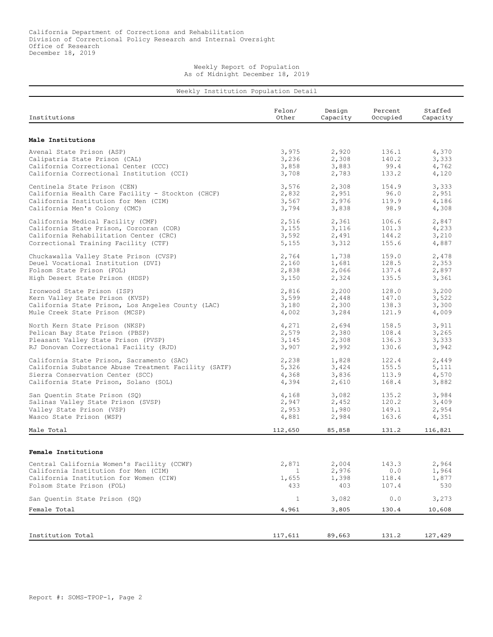Weekly Report of Population As of Midnight December 18, 2019

| Institutions                                         | Felon/<br>Other | Design<br>Capacity | Percent<br>Occupied | Staffed<br>Capacity |
|------------------------------------------------------|-----------------|--------------------|---------------------|---------------------|
|                                                      |                 |                    |                     |                     |
| Male Institutions                                    |                 |                    |                     |                     |
| Avenal State Prison (ASP)                            | 3,975           | 2,920              | 136.1               | 4,370               |
| Calipatria State Prison (CAL)                        | 3,236           | 2,308              | 140.2               | 3,333               |
| California Correctional Center (CCC)                 | 3,858           | 3,883              | 99.4                | 4,762               |
| California Correctional Institution (CCI)            | 3,708           | 2,783              | 133.2               | 4,120               |
| Centinela State Prison (CEN)                         | 3,576           | 2,308              | 154.9               | 3,333               |
| California Health Care Facility - Stockton (CHCF)    | 2,832           | 2,951              | 96.0                | 2,951               |
| California Institution for Men (CIM)                 | 3,567           | 2,976              | 119.9               | 4,186               |
| California Men's Colony (CMC)                        | 3,794           | 3,838              | 98.9                | 4,308               |
| California Medical Facility (CMF)                    | 2,516           | 2,361              | 106.6               | 2,847               |
| California State Prison, Corcoran (COR)              | 3,155           | 3,116              | 101.3               | 4,233               |
| California Rehabilitation Center (CRC)               | 3,592           | 2,491              | 144.2               | 3,210               |
| Correctional Training Facility (CTF)                 | 5,155           | 3,312              | 155.6               | 4,887               |
|                                                      |                 |                    |                     |                     |
| Chuckawalla Valley State Prison (CVSP)               | 2,764           | 1,738              | 159.0               | 2,478               |
| Deuel Vocational Institution (DVI)                   | 2,160           | 1,681              | 128.5               | 2,353               |
| Folsom State Prison (FOL)                            | 2,838           | 2,066              | 137.4               | 2,897               |
| High Desert State Prison (HDSP)                      | 3,150           | 2,324              | 135.5               | 3,361               |
| Ironwood State Prison (ISP)                          | 2,816           | 2,200              | 128.0               | 3,200               |
| Kern Valley State Prison (KVSP)                      | 3,599           | 2,448              | 147.0               | 3,522               |
| California State Prison, Los Angeles County (LAC)    | 3,180           | 2,300              | 138.3               | 3,300               |
| Mule Creek State Prison (MCSP)                       | 4,002           | 3,284              | 121.9               | 4,009               |
| North Kern State Prison (NKSP)                       | 4,271           | 2,694              | 158.5               | 3,911               |
| Pelican Bay State Prison (PBSP)                      | 2,579           | 2,380              | 108.4               | 3,265               |
| Pleasant Valley State Prison (PVSP)                  | 3,145           | 2,308              | 136.3               | 3,333               |
| RJ Donovan Correctional Facility (RJD)               | 3,907           | 2,992              | 130.6               | 3,942               |
|                                                      |                 |                    |                     |                     |
| California State Prison, Sacramento (SAC)            | 2,238           | 1,828              | 122.4               | 2,449               |
| California Substance Abuse Treatment Facility (SATF) | 5,326           | 3,424              | 155.5               | 5,111               |
| Sierra Conservation Center (SCC)                     | 4,368           | 3,836              | 113.9               | 4,570               |
| California State Prison, Solano (SOL)                | 4,394           | 2,610              | 168.4               | 3,882               |
| San Quentin State Prison (SQ)                        | 4,168           | 3,082              | 135.2               | 3,984               |
| Salinas Valley State Prison (SVSP)                   | 2,947           | 2,452              | 120.2               | 3,409               |
| Valley State Prison (VSP)                            | 2,953           | 1,980              | 149.1               | 2,954               |
| Wasco State Prison (WSP)                             | 4,881           | 2,984              | 163.6               | 4,351               |
| Male Total                                           | 112,650         | 85,858             | 131.2               | 116,821             |
|                                                      |                 |                    |                     |                     |
| Female Institutions                                  |                 |                    |                     |                     |
| Central California Women's Facility (CCWF)           | 2,871           | 2,004              | 143.3               | 2,964               |
| California Institution for Men (CIM)                 | 1               | 2,976              | 0.0                 | 1,964               |
| California Institution for Women (CIW)               | 1,655           | 1,398              | 118.4               | 1,877               |
| Folsom State Prison (FOL)                            | 433             | 403                | 107.4               | 530                 |
| San Quentin State Prison (SQ)                        | $\mathbf{1}$    | 3,082              | 0.0                 | 3,273               |
|                                                      |                 |                    |                     |                     |
| Female Total                                         | 4,961           | 3,805              | 130.4               | 10,608              |
|                                                      |                 |                    |                     |                     |
| Institution Total                                    | 117,611         | 89,663             | 131.2               | 127,429             |